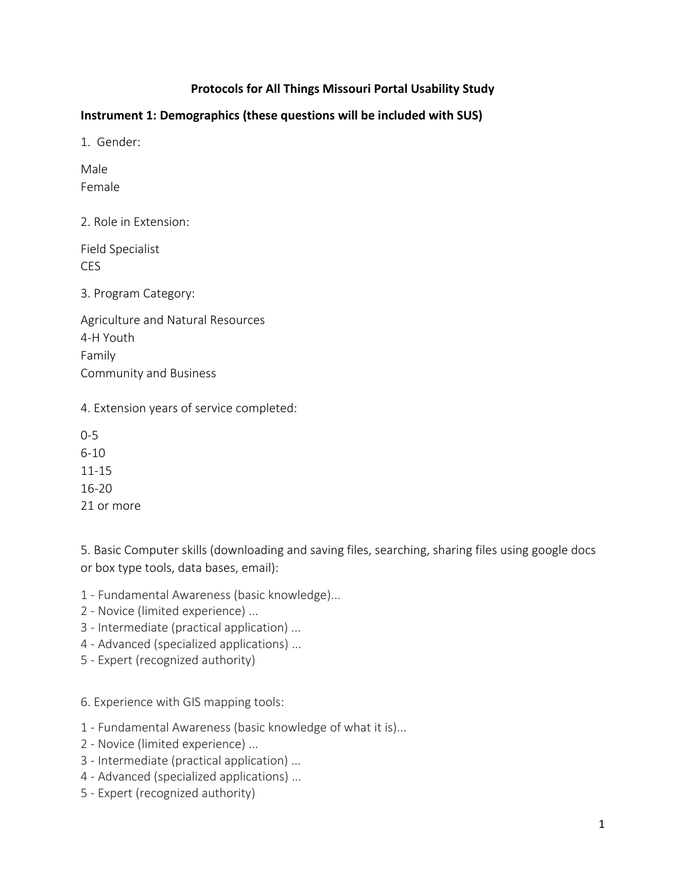# **Protocols for All Things Missouri Portal Usability Study**

### **Instrument 1: Demographics (these questions will be included with SUS)**

1. Gender:

Male Female

2. Role in Extension:

Field Specialist CES

3. Program Category:

Agriculture and Natural Resources 4-H Youth Family Community and Business

4. Extension years of service completed:

0-5 6-10 11-15 16-20 21 or more

5. Basic Computer skills (downloading and saving files, searching, sharing files using google docs or box type tools, data bases, email):

1 - Fundamental Awareness (basic knowledge)...

- 2 Novice (limited experience) ...
- 3 Intermediate (practical application) ...
- 4 Advanced (specialized applications) ...
- 5 Expert (recognized authority)

6. Experience with GIS mapping tools:

1 - Fundamental Awareness (basic knowledge of what it is)...

- 2 Novice (limited experience) ...
- 3 Intermediate (practical application) ...
- 4 Advanced (specialized applications) ...
- 5 Expert (recognized authority)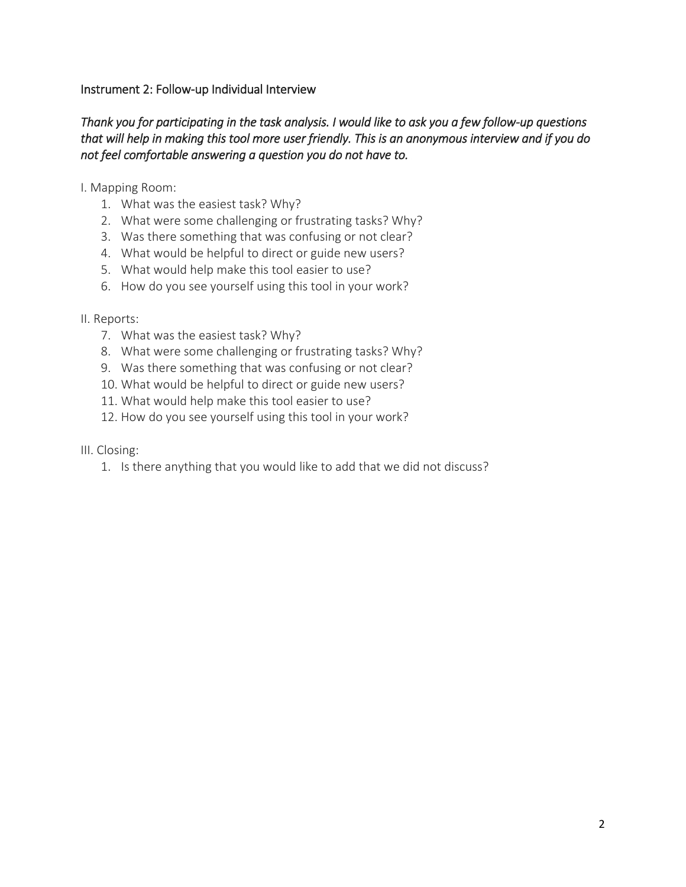### Instrument 2: Follow-up Individual Interview

# *Thank you for participating in the task analysis. I would like to ask you a few follow-up questions that will help in making this tool more user friendly. This is an anonymous interview and if you do not feel comfortable answering a question you do not have to.*

I. Mapping Room:

- 1. What was the easiest task? Why?
- 2. What were some challenging or frustrating tasks? Why?
- 3. Was there something that was confusing or not clear?
- 4. What would be helpful to direct or guide new users?
- 5. What would help make this tool easier to use?
- 6. How do you see yourself using this tool in your work?

#### II. Reports:

- 7. What was the easiest task? Why?
- 8. What were some challenging or frustrating tasks? Why?
- 9. Was there something that was confusing or not clear?
- 10. What would be helpful to direct or guide new users?
- 11. What would help make this tool easier to use?
- 12. How do you see yourself using this tool in your work?
- III. Closing:
	- 1. Is there anything that you would like to add that we did not discuss?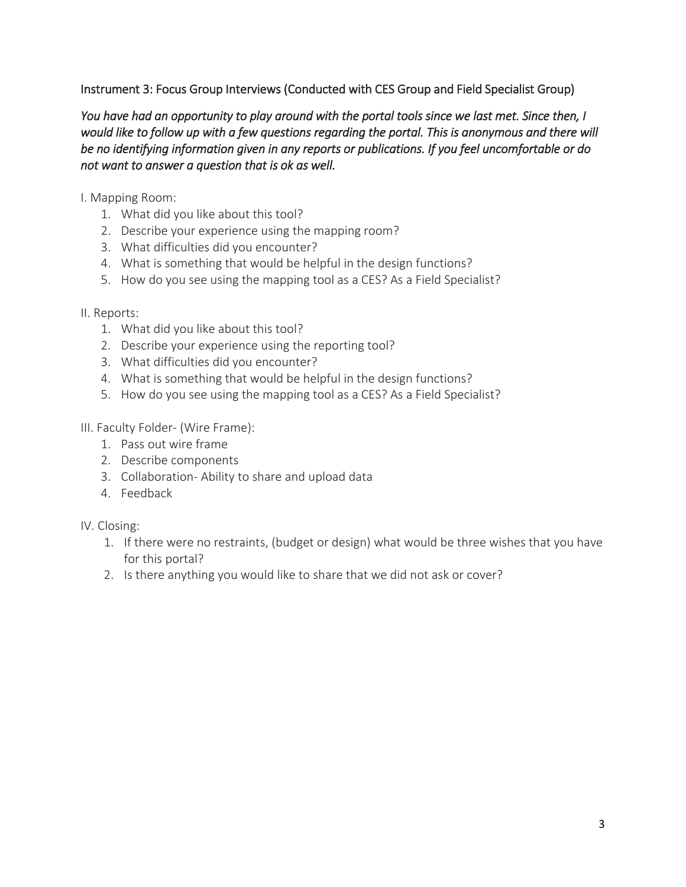# Instrument 3: Focus Group Interviews (Conducted with CES Group and Field Specialist Group)

*You have had an opportunity to play around with the portal tools since we last met. Since then, I would like to follow up with a few questions regarding the portal. This is anonymous and there will be no identifying information given in any reports or publications. If you feel uncomfortable or do not want to answer a question that is ok as well.* 

I. Mapping Room:

- 1. What did you like about this tool?
- 2. Describe your experience using the mapping room?
- 3. What difficulties did you encounter?
- 4. What is something that would be helpful in the design functions?
- 5. How do you see using the mapping tool as a CES? As a Field Specialist?

# II. Reports:

- 1. What did you like about this tool?
- 2. Describe your experience using the reporting tool?
- 3. What difficulties did you encounter?
- 4. What is something that would be helpful in the design functions?
- 5. How do you see using the mapping tool as a CES? As a Field Specialist?

III. Faculty Folder- (Wire Frame):

- 1. Pass out wire frame
- 2. Describe components
- 3. Collaboration- Ability to share and upload data
- 4. Feedback

IV. Closing:

- 1. If there were no restraints, (budget or design) what would be three wishes that you have for this portal?
- 2. Is there anything you would like to share that we did not ask or cover?